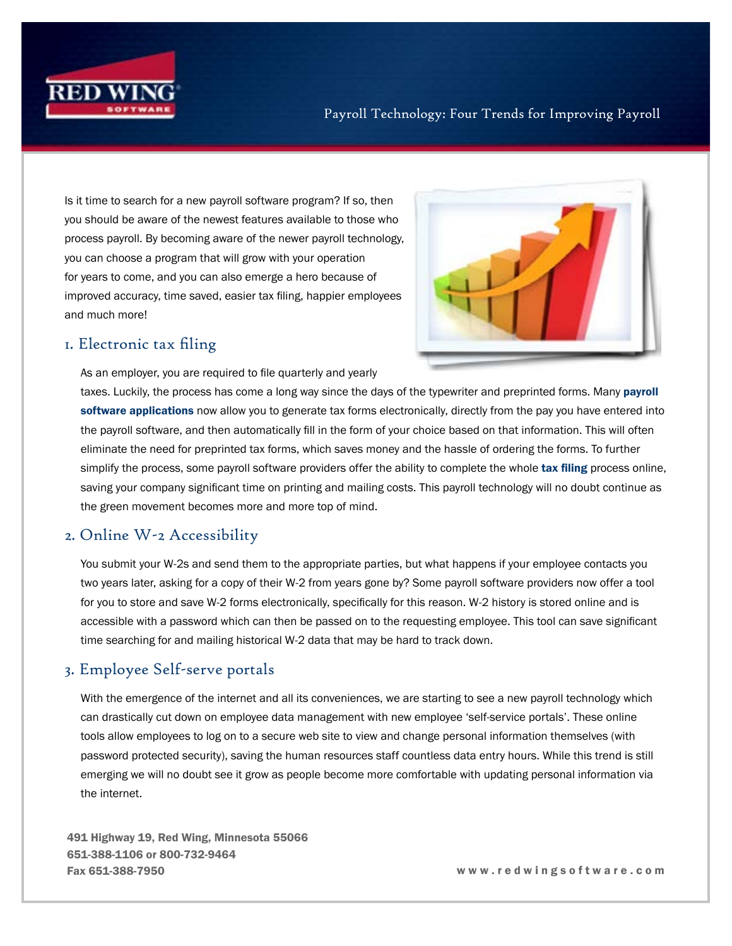

#### Payroll Technology: Four Trends for Improving Payroll

Is it time to search for a new payroll software program? If so, then you should be aware of the newest features available to those who process payroll. By becoming aware of the newer payroll technology, you can choose a program that will grow with your operation for years to come, and you can also emerge a hero because of improved accuracy, time saved, easier tax filing, happier employees and much more!



### 1. Electronic tax filing

As an employer, you are required to file quarterly and yearly

taxes. Luckily, the process has come a long way since the days of the typewriter and preprinted forms. Many payroll [software applications](https://www.redwingsoftware.com/home/products/payroll-software/) now allow you to generate tax forms electronically, directly from the pay you have entered into the payroll software, and then automatically fill in the form of your choice based on that information. This will often eliminate the need for preprinted tax forms, which saves money and the hassle of ordering the forms. To further simplify the process, some payroll software providers offer the ability to complete the whole [tax filing](https://www.redwingsoftware.com/home/articles/payroll/payroll-taxes) process online, saving your company significant time on printing and mailing costs. This payroll technology will no doubt continue as the green movement becomes more and more top of mind.

#### 2. Online W-2 Accessibility

You submit your W-2s and send them to the appropriate parties, but what happens if your employee contacts you two years later, asking for a copy of their W-2 from years gone by? Some payroll software providers now offer a tool for you to store and save W-2 forms electronically, specifically for this reason. W-2 history is stored online and is accessible with a password which can then be passed on to the requesting employee. This tool can save significant time searching for and mailing historical W-2 data that may be hard to track down.

## 3. Employee Self-serve portals

With the emergence of the internet and all its conveniences, we are starting to see a new payroll technology which can drastically cut down on employee data management with new employee 'self-service portals'. These online tools allow employees to log on to a secure web site to view and change personal information themselves (with password protected security), saving the human resources staff countless data entry hours. While this trend is still emerging we will no doubt see it grow as people become more comfortable with updating personal information via the internet.

491 Highway 19, Red Wing, Minnesota 55066 651-388-1106 or 800-732-9464 Fax 651-388-7950 w w w . r e d w i n g s o f t w a r e . c o m